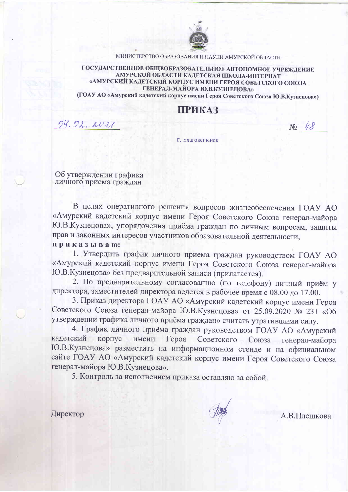

МИНИСТЕРСТВО ОБРАЗОВАНИЯ И НАУКИ АМУРСКОЙ ОБЛАСТИ

ГОСУДАРСТВЕННОЕ ОБЩЕОБРАЗОВАТЕЛЬНОЕ АВТОНОМНОЕ УЧРЕЖДЕНИЕ АМУРСКОЙ ОБЛАСТИ КАДЕТСКАЯ ШКОЛА-ИНТЕРНАТ «АМУРСКИЙ КАДЕТСКИЙ КОРПУС ИМЕНИ ГЕРОЯ СОВЕТСКОГО СОЮЗА ГЕНЕРАЛ-МАЙОРА Ю.В.КУЗНЕЦОВА»

(ГОАУ АО «Амурский кадетский корпус имени Героя Советского Союза Ю.В.Кузнецова»)

## ПРИКАЗ

04.02.2021

 $N_0$  48

Г. Благовешенск

Об утверждении графика личного приема граждан

В целях оперативного решения вопросов жизнеобеспечения ГОАУ АО «Амурский кадетский корпус имени Героя Советского Союза генерал-майора Ю.В. Кузнецова», упорядочения приёма граждан по личным вопросам, защиты прав и законных интересов участников образовательной деятельности,

приказываю:

1. Утвердить график личного приема граждан руководством ГОАУ АО «Амурский кадетский корпус имени Героя Советского Союза генерал-майора Ю.В. Кузнецова» без предварительной записи (прилагается).

2. По предварительному согласованию (по телефону) личный приём у директора, заместителей директора ведется в рабочее время с 08.00 до 17.00.

3. Приказ директора ГОАУ АО «Амурский кадетский корпус имени Героя Советского Союза генерал-майора Ю.В. Кузнецова» от 25.09.2020 № 231 «Об утверждении графика личного приёма граждан» считать утратившими силу.

4. График личного приёма граждан руководством ГОАУ АО «Амурский кадетский корпус Советского Союза генерал-майора имени Героя Ю.В. Кузнецова» разместить на информационном стенде и на официальном сайте ГОАУ АО «Амурский кадетский корпус имени Героя Советского Союза генерал-майора Ю.В.Кузнецова».

5. Контроль за исполнением приказа оставляю за собой.

Директор

А.В.Плешкова